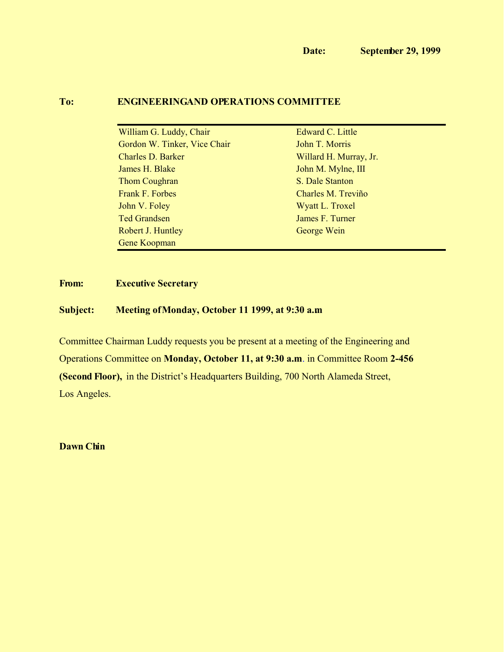## **To: ENGINEERINGAND OPERATIONS COMMITTEE**

| William G. Luddy, Chair      | Edward C. Little       |
|------------------------------|------------------------|
| Gordon W. Tinker, Vice Chair | John T. Morris         |
| <b>Charles D. Barker</b>     | Willard H. Murray, Jr. |
| James H. Blake               | John M. Mylne, III     |
| <b>Thom Coughran</b>         | S. Dale Stanton        |
| Frank F. Forbes              | Charles M. Treviño     |
| John V. Foley                | Wyatt L. Troxel        |
| <b>Ted Grandsen</b>          | James F. Turner        |
| Robert J. Huntley            | George Wein            |
| <b>Gene Koopman</b>          |                        |
|                              |                        |

# **From: Executive Secretary**

### **Subject: Meeting of Monday, October 11 1999, at 9:30 a.m.**

Committee Chairman Luddy requests you be present at a meeting of the Engineering and Operations Committee on **Monday, October 11, at 9:30 a.m**. in Committee Room **2-456 (Second Floor),** in the District's Headquarters Building, 700 North Alameda Street, Los Angeles.

**Dawn Chin**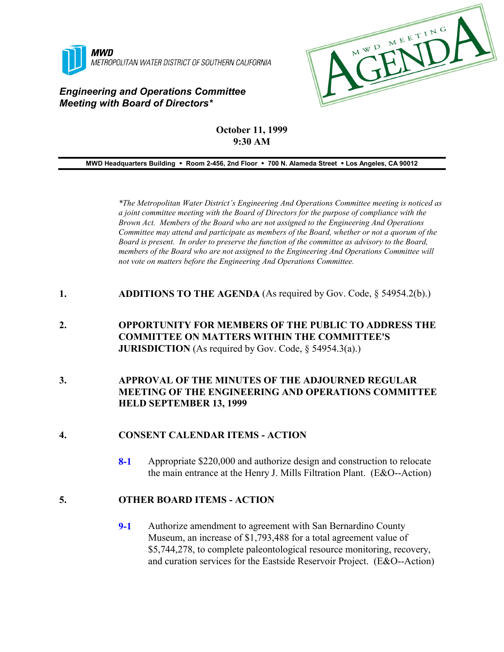

### *Engineering and Operations Committee Meeting with Board of Directors\**



### **October 11, 1999 9:30 AM**

**MWD Headquarters Building** ! **Room 2-456, 2nd Floor** ! **700 N. Alameda Street** ! **Los Angeles, CA 90012**

*\*The Metropolitan Water District's Engineering And Operations Committee meeting is noticed as a joint committee meeting with the Board of Directors for the purpose of compliance with the Brown Act. Members of the Board who are not assigned to the Engineering And Operations Committee may attend and participate as members of the Board, whether or not a quorum of the Board is present. In order to preserve the function of the committee as advisory to the Board, members of the Board who are not assigned to the Engineering And Operations Committee will not vote on matters before the Engineering And Operations Committee.*

- **1. ADDITIONS TO THE AGENDA** (As required by Gov. Code, § 54954.2(b).)
- **2. OPPORTUNITY FOR MEMBERS OF THE PUBLIC TO ADDRESS THE COMMITTEE ON MATTERS WITHIN THE COMMITTEE'S JURISDICTION** (As required by Gov. Code, § 54954.3(a).)
- **3. APPROVAL OF THE MINUTES OF THE ADJOURNED REGULAR MEETING OF THE ENGINEERING AND OPERATIONS COMMITTEE HELD SEPTEMBER 13, 1999**

#### **4. CONSENT CALENDAR ITEMS - ACTION**

**8-1** Appropriate \$220,000 and authorize design and construction to relocate the main entrance at the Henry J. Mills Filtration Plant. (E&O--Action)

#### **5. OTHER BOARD ITEMS - ACTION**

**9-1** Authorize amendment to agreement with San Bernardino County Museum, an increase of \$1,793,488 for a total agreement value of \$5,744,278, to complete paleontological resource monitoring, recovery, and curation services for the Eastside Reservoir Project. (E&O--Action)